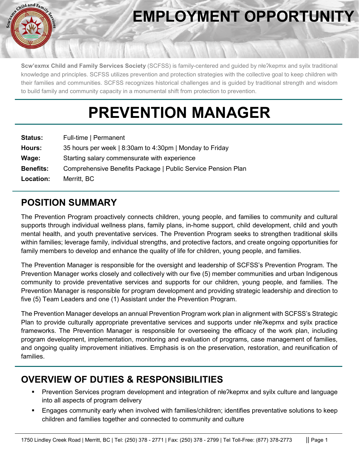

# **EMPLOYMENT OPPORTUNITY**

**Scw'exmx Child and Family Services Society** (SCFSS) is family-centered and guided by nłeʔkepmx and syilx traditional knowledge and principles. SCFSS utilizes prevention and protection strategies with the collective goal to keep children with their families and communities. SCFSS recognizes historical challenges and is guided by traditional strength and wisdom to build family and community capacity in a monumental shift from protection to prevention.

# **PREVENTION MANAGER**

| <b>Status:</b>   | Full-time   Permanent                                        |
|------------------|--------------------------------------------------------------|
| Hours:           | 35 hours per week   8:30am to 4:30pm   Monday to Friday      |
| Wage:            | Starting salary commensurate with experience                 |
| <b>Benefits:</b> | Comprehensive Benefits Package   Public Service Pension Plan |
| Location:        | Merritt, BC                                                  |

#### **POSITION SUMMARY**

The Prevention Program proactively connects children, young people, and families to community and cultural supports through individual wellness plans, family plans, in-home support, child development, child and youth mental health, and youth preventative services. The Prevention Program seeks to strengthen traditional skills within families; leverage family, individual strengths, and protective factors, and create ongoing opportunities for family members to develop and enhance the quality of life for children, young people, and families.

The Prevention Manager is responsible for the oversight and leadership of SCFSS's Prevention Program. The Prevention Manager works closely and collectively with our five (5) member communities and urban Indigenous community to provide preventative services and supports for our children, young people, and families. The Prevention Manager is responsible for program development and providing strategic leadership and direction to five (5) Team Leaders and one (1) Assistant under the Prevention Program.

The Prevention Manager develops an annual Prevention Program work plan in alignment with SCFSS's Strategic Plan to provide culturally appropriate preventative services and supports under nłeʔkepmx and syilx practice frameworks. The Prevention Manager is responsible for overseeing the efficacy of the work plan, including program development, implementation, monitoring and evaluation of programs, case management of families, and ongoing quality improvement initiatives. Emphasis is on the preservation, restoration, and reunification of families.

### **OVERVIEW OF DUTIES & RESPONSIBILITIES**

- Prevention Services program development and integration of nłeʔkepmx and syilx culture and language into all aspects of program delivery
- Engages community early when involved with families/children; identifies preventative solutions to keep children and families together and connected to community and culture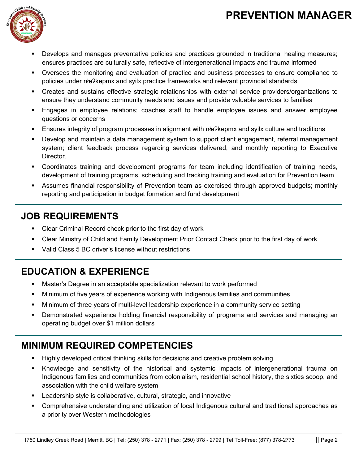## **PREVENTION MANAGER**



- Develops and manages preventative policies and practices grounded in traditional healing measures; ensures practices are culturally safe, reflective of intergenerational impacts and trauma informed
- Oversees the monitoring and evaluation of practice and business processes to ensure compliance to policies under nłeʔkepmx and syilx practice frameworks and relevant provincial standards
- Creates and sustains effective strategic relationships with external service providers/organizations to ensure they understand community needs and issues and provide valuable services to families
- Engages in employee relations; coaches staff to handle employee issues and answer employee questions or concerns
- Ensures integrity of program processes in alignment with nłeʔkepmx and syilx culture and traditions
- Develop and maintain a data management system to support client engagement, referral management system; client feedback process regarding services delivered, and monthly reporting to Executive Director.
- Coordinates training and development programs for team including identification of training needs, development of training programs, scheduling and tracking training and evaluation for Prevention team
- Assumes financial responsibility of Prevention team as exercised through approved budgets; monthly reporting and participation in budget formation and fund development

#### **JOB REQUIREMENTS**

- **EXECLE CRIMINAL RECOLE CHECK PRIOT TO THE FIRM** Clear Criminal Record check prior to the first day of work
- Clear Ministry of Child and Family Development Prior Contact Check prior to the first day of work
- Valid Class 5 BC driver's license without restrictions

## **EDUCATION & EXPERIENCE**

- Master's Degree in an acceptable specialization relevant to work performed
- Minimum of five years of experience working with Indigenous families and communities
- Minimum of three years of multi-level leadership experience in a community service setting
- Demonstrated experience holding financial responsibility of programs and services and managing an operating budget over \$1 million dollars

### **MINIMUM REQUIRED COMPETENCIES**

- Highly developed critical thinking skills for decisions and creative problem solving
- Knowledge and sensitivity of the historical and systemic impacts of intergenerational trauma on Indigenous families and communities from colonialism, residential school history, the sixties scoop, and association with the child welfare system
- Leadership style is collaborative, cultural, strategic, and innovative
- Comprehensive understanding and utilization of local Indigenous cultural and traditional approaches as a priority over Western methodologies